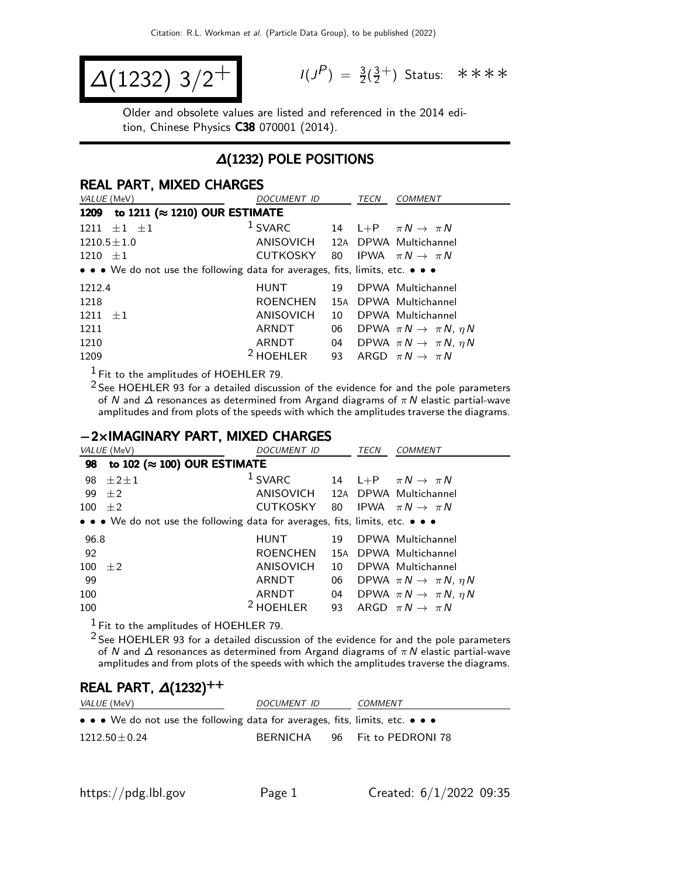$$
\Delta(1232) 3/2^+ \qquad \qquad ^{\frac{1}{3}}
$$

 $P$ ) =  $\frac{3}{2}(\frac{3}{2})$  $\frac{3}{2}^+$ ) Status: \*\*\*\*

Older and obsolete values are listed and referenced in the 2014 edition, Chinese Physics C38 070001 (2014).

### ∆(1232) POLE POSITIONS

#### REAL PART, MIXED CHARGES

| VALUE (MeV)                                                                   | DOCUMENT ID                     |     | <b>TECN</b> | <b>COMMENT</b>                               |
|-------------------------------------------------------------------------------|---------------------------------|-----|-------------|----------------------------------------------|
| to 1211 ( $\approx$ 1210) OUR ESTIMATE<br>1209                                |                                 |     |             |                                              |
| $1211 \pm 1 \pm 1$                                                            | $1$ SVARC                       |     |             | 14 L+P $\pi N \rightarrow \pi N$             |
| $1210.5 \pm 1.0$                                                              | ANISOVICH 12A DPWA Multichannel |     |             |                                              |
| $1210 + 1$                                                                    | CUTKOSKY                        | 80  |             | IPWA $\pi N \rightarrow \pi N$               |
| • • • We do not use the following data for averages, fits, limits, etc. • • • |                                 |     |             |                                              |
| 1212.4                                                                        | HUNT                            | 19  |             | DPWA Multichannel                            |
| 1218                                                                          | ROENCHEN                        | 15A |             | DPWA Multichannel                            |
| $1211 + 1$                                                                    | ANISOVICH                       | 10  |             | DPWA Multichannel                            |
| 1211                                                                          | ARNDT                           | 06  |             | DPWA $\pi N \rightarrow \pi N$ , $\eta N$    |
| 1210                                                                          | ARNDT                           |     |             | 04 DPWA $\pi N \rightarrow \pi N$ , $\eta N$ |
| 1209                                                                          | <sup>2</sup> HOEHLER            | 93  |             | ARGD $\pi N \rightarrow \pi N$               |

 $<sup>1</sup>$  Fit to the amplitudes of HOEHLER 79.</sup>

2 See HOEHLER 93 for a detailed discussion of the evidence for and the pole parameters of N and  $\Delta$  resonances as determined from Argand diagrams of  $\pi N$  elastic partial-wave amplitudes and from plots of the speeds with which the amplitudes traverse the diagrams.

#### −2×IMAGINARY PART, MIXED CHARGES

|             | VALUE (MeV)                                                                   | DOCUMENT ID                     |    | TECN | <i>COMMENT</i>                            |
|-------------|-------------------------------------------------------------------------------|---------------------------------|----|------|-------------------------------------------|
| 98          | to 102 ( $\approx$ 100) OUR ESTIMATE                                          |                                 |    |      |                                           |
| 98          | $\pm 2 \pm 1$                                                                 | $1$ SVARC                       | 14 |      | $L+P$ $\pi N \rightarrow \pi N$           |
| 99          | $\pm 2$                                                                       | ANISOVICH 12A DPWA Multichannel |    |      |                                           |
| 100         | $+2$                                                                          | CUTKOSKY                        | 80 |      | IPWA $\pi N \rightarrow \pi N$            |
|             | • • • We do not use the following data for averages, fits, limits, etc. • • • |                                 |    |      |                                           |
| 96.8        |                                                                               | <b>HUNT</b>                     | 19 |      | DPWA Multichannel                         |
| 92          |                                                                               | <b>ROENCHEN</b>                 |    |      | 15A DPWA Multichannel                     |
| 100 $\pm 2$ |                                                                               | <b>ANISOVICH</b>                | 10 |      | DPWA Multichannel                         |
| 99          |                                                                               | ARNDT                           | 06 |      | DPWA $\pi N \rightarrow \pi N$ , $\eta N$ |
| 100         |                                                                               | ARNDT                           | 04 |      | DPWA $\pi N \rightarrow \pi N$ , $\eta N$ |
| 100         |                                                                               | $2$ HOEHLER                     | 93 |      | ARGD $\pi N \rightarrow \pi N$            |

1 Fit to the amplitudes of HOEHLER 79.

2 See HOEHLER 93 for a detailed discussion of the evidence for and the pole parameters of N and  $\Delta$  resonances as determined from Argand diagrams of  $\pi N$  elastic partial-wave amplitudes and from plots of the speeds with which the amplitudes traverse the diagrams.

#### REAL PART,  $\Delta(1232)^{++}$

| <i>VALUE</i> (MeV)                                                                                                    | DOCUMENT ID | COMMENT              |
|-----------------------------------------------------------------------------------------------------------------------|-------------|----------------------|
| $\bullet \bullet \bullet$ We do not use the following data for averages, fits, limits, etc. $\bullet \bullet \bullet$ |             |                      |
| $1212.50 \pm 0.24$                                                                                                    | BERNICHA    | 96 Fit to PEDRONI 78 |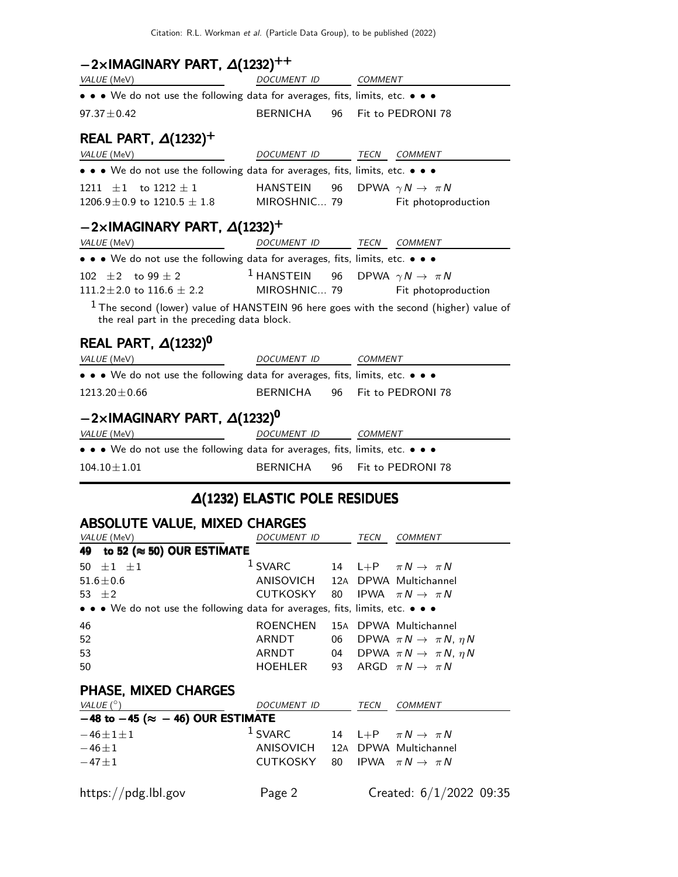# $-2\times$ IMAGINARY PART,  $\Delta(1232)^{++}$

| VALUE (MeV)                                                                                                                           | DOCUMENT ID COMMENT                                |    |  |                      |  |
|---------------------------------------------------------------------------------------------------------------------------------------|----------------------------------------------------|----|--|----------------------|--|
| • • • We do not use the following data for averages, fits, limits, etc. • • •                                                         |                                                    |    |  |                      |  |
| $97.37 \pm 0.42$                                                                                                                      | BERNICHA                                           |    |  | 96 Fit to PEDRONI 78 |  |
| REAL PART, $\Delta(1232)^+$                                                                                                           |                                                    |    |  |                      |  |
| VALUE (MeV)                                                                                                                           | DOCUMENT ID TECN COMMENT                           |    |  |                      |  |
| • • • We do not use the following data for averages, fits, limits, etc. • • •                                                         |                                                    |    |  |                      |  |
| 1211 $\pm 1$ to 1212 $\pm 1$<br>$1206.9 \pm 0.9$ to $1210.5 \pm 1.8$ MIROSHNIC 79 Fit photoproduction                                 | HANSTEIN 96 DPWA $\gamma N \to \pi N$              |    |  |                      |  |
| $-2\times$ IMAGINARY PART, $\Delta(1232)^+$                                                                                           |                                                    |    |  |                      |  |
| VALUE (MeV)<br><b>Contract Contract State</b>                                                                                         | DOCUMENT ID TECN COMMENT                           |    |  |                      |  |
| • • • We do not use the following data for averages, fits, limits, etc. • • •                                                         |                                                    |    |  |                      |  |
| 102 $\pm 2$ to 99 $\pm$ 2<br>$111.2 \pm 2.0$ to $116.6 \pm 2.2$ MIROSHNIC 79 Fit photoproduction                                      | <sup>1</sup> HANSTEIN 96 DPWA $\gamma N \to \pi N$ |    |  |                      |  |
| $1$ The second (lower) value of HANSTEIN 96 here goes with the second (higher) value of<br>the real part in the preceding data block. |                                                    |    |  |                      |  |
| REAL PART, $\Delta(1232)^{0}$                                                                                                         |                                                    |    |  |                      |  |
| <u>DOCUMENT</u> ID COMMENT<br>VALUE (MeV)                                                                                             |                                                    |    |  |                      |  |
| • • • We do not use the following data for averages, fits, limits, etc. • • •                                                         |                                                    |    |  |                      |  |
| $1213.20 \pm 0.66$                                                                                                                    | BERNICHA                                           |    |  | 96 Fit to PEDRONI 78 |  |
| $-2\times$ IMAGINARY PART, $\Delta(1232)^{0}$                                                                                         |                                                    |    |  |                      |  |
| VALUE (MeV)                                                                                                                           | DOCUMENT ID COMMENT                                |    |  |                      |  |
| • • • We do not use the following data for averages, fits, limits, etc. • • •                                                         |                                                    |    |  |                      |  |
| $104.10 \pm 1.01$                                                                                                                     | <b>BERNICHA</b>                                    | 96 |  | Fit to PEDRONI 78    |  |

# ∆(1232) ELASTIC POLE RESIDUES

# ABSOLUTE VALUE, MIXED CHARGES

| VALUE (MeV)                                                                   | DOCUMENT ID                     |    | TECN | <b>COMMENT</b>                               |
|-------------------------------------------------------------------------------|---------------------------------|----|------|----------------------------------------------|
| 49 to 52 ( $\approx$ 50) OUR ESTIMATE                                         |                                 |    |      |                                              |
| 50 $\pm 1$ $\pm 1$                                                            | $1$ SVARC                       |    |      | 14 L+P $\pi N \rightarrow \pi N$             |
| $51.6 \pm 0.6$                                                                | ANISOVICH 12A DPWA Multichannel |    |      |                                              |
| 53 $\pm 2$                                                                    | CUTKOSKY 80                     |    |      | IPWA $\pi N \rightarrow \pi N$               |
| • • • We do not use the following data for averages, fits, limits, etc. • • • |                                 |    |      |                                              |
| 46                                                                            | <b>ROENCHEN</b>                 |    |      | 15A DPWA Multichannel                        |
| 52                                                                            | ARNDT                           | 06 |      | DPWA $\pi N \rightarrow \pi N$ , $\eta N$    |
| 53                                                                            | ARNDT                           |    |      | 04 DPWA $\pi N \rightarrow \pi N$ , $\eta N$ |
| 50                                                                            | HOEHLER                         | 93 |      | ARGD $\pi N \rightarrow \pi N$               |
| <b>PHASE, MIXED CHARGES</b>                                                   |                                 |    |      |                                              |
| VALUE $(^\circ)$                                                              | DOCUMENT ID                     |    | TECN | <b>COMMENT</b>                               |
| $-48$ to $-45$ ( $\approx$ $-46$ ) OUR ESTIMATE                               |                                 |    |      |                                              |
| $-46 \pm 1 \pm 1$                                                             | $1$ SVARC                       |    |      | 14 L+P $\pi N \rightarrow \pi N$             |
| $-46 \pm 1$                                                                   | ANISOVICH                       |    |      | 12A DPWA Multichannel                        |
| $-47\pm1$                                                                     | CUTKOSKY                        | 80 |      | IPWA $\pi N \rightarrow \pi N$               |
| https://pdg.lbl.gov                                                           | Page 2                          |    |      | Created: $6/1/2022$ 09:35                    |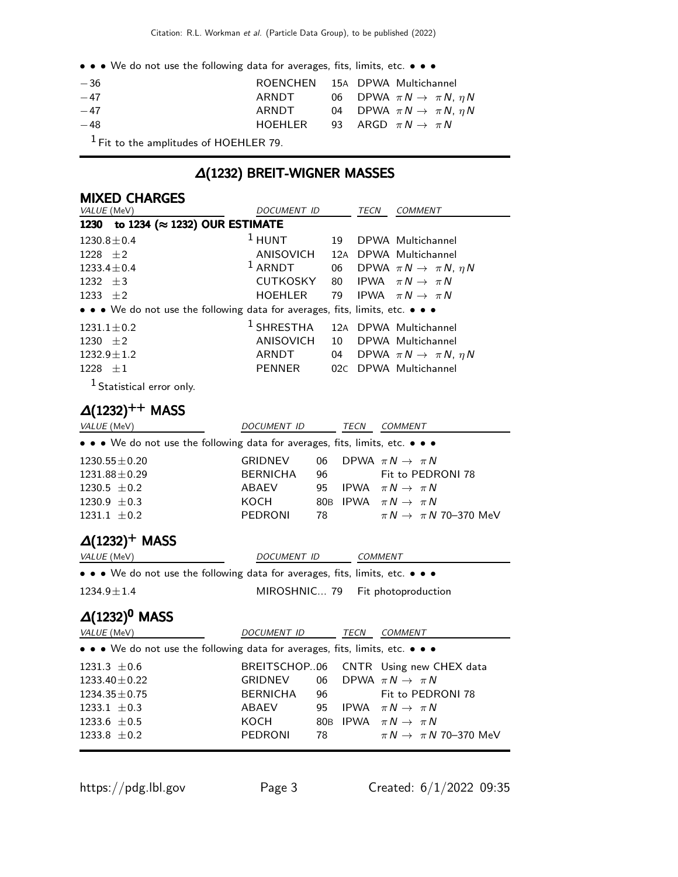• • • We do not use the following data for averages, fits, limits, etc. • • •

| $-36$ | ROENCHEN 15A DPWA Multichannel |  |                                              |
|-------|--------------------------------|--|----------------------------------------------|
| $-47$ | ARNDT                          |  | 06 DPWA $\pi N \rightarrow \pi N$ , $\eta N$ |
| $-47$ | ARNDT                          |  | 04 DPWA $\pi N \rightarrow \pi N$ , $\eta N$ |
| $-48$ | HOEHLER                        |  | 93 ARGD $\pi N \rightarrow \pi N$            |
|       |                                |  |                                              |

1 Fit to the amplitudes of HOEHLER 79.

# ∆(1232) BREIT-WIGNER MASSES

#### MIXED CHARGES

| VALUE (MeV)                                                                   | <b>DOCUMENT ID</b>                     |                 | <b>TECN</b> | <b>COMMENT</b>                            |  |  |  |
|-------------------------------------------------------------------------------|----------------------------------------|-----------------|-------------|-------------------------------------------|--|--|--|
| 1230                                                                          | to 1234 ( $\approx$ 1232) OUR ESTIMATE |                 |             |                                           |  |  |  |
| $1230.8 \pm 0.4$                                                              | $1$ HUNT                               | 19              |             | DPWA Multichannel                         |  |  |  |
| 1228 $\pm 2$                                                                  | ANISOVICH                              | 12A             |             | DPWA Multichannel                         |  |  |  |
| $1233.4 \pm 0.4$                                                              | $1$ ARNDT                              | 06              |             | DPWA $\pi N \rightarrow \pi N$ , $\eta N$ |  |  |  |
| 1232 $\pm 3$                                                                  | <b>CUTKOSKY</b>                        | 80              |             | IPWA $\pi N \rightarrow \pi N$            |  |  |  |
| 1233 $\pm 2$                                                                  | <b>HOEHLER</b>                         | 79              |             | IPWA $\pi N \rightarrow \pi N$            |  |  |  |
| • • • We do not use the following data for averages, fits, limits, etc. • • • |                                        |                 |             |                                           |  |  |  |
| $1231.1 \pm 0.2$                                                              | $1$ SHRESTHA                           |                 |             | 12A DPWA Multichannel                     |  |  |  |
| 1230 $\pm 2$                                                                  | ANISOVICH                              | 10              |             | DPWA Multichannel                         |  |  |  |
| $1232.9 \pm 1.2$                                                              | ARNDT                                  | 04              |             | DPWA $\pi N \rightarrow \pi N$ , $\eta N$ |  |  |  |
| $1228 \pm 1$                                                                  | PENNER                                 |                 |             | 02C DPWA Multichannel                     |  |  |  |
| <sup>1</sup> Statistical error only.                                          |                                        |                 |             |                                           |  |  |  |
| $\Delta(1232)^{++}$ MASS                                                      |                                        |                 |             |                                           |  |  |  |
| VALUE (MeV)                                                                   | DOCUMENT ID                            |                 | <b>TECN</b> | <b>COMMENT</b>                            |  |  |  |
| • • • We do not use the following data for averages, fits, limits, etc. • • • |                                        |                 |             |                                           |  |  |  |
| $1230.55 \pm 0.20$                                                            | <b>GRIDNEV</b>                         | 06              |             | DPWA $\pi N \rightarrow \pi N$            |  |  |  |
| $1231.88 \pm 0.29$                                                            | <b>BERNICHA</b>                        | 96              |             | Fit to PEDRONI 78                         |  |  |  |
| $1230.5 \pm 0.2$                                                              | ABAEV                                  | 95              |             | IPWA $\pi N \rightarrow \pi N$            |  |  |  |
| $1230.9 \pm 0.3$                                                              | косн                                   | 80 <sub>B</sub> |             | IPWA $\pi N \rightarrow \pi N$            |  |  |  |
| $1231.1 \pm 0.2$                                                              | PEDRONI                                | 78              |             | $\pi N \rightarrow \pi N$ 70–370 MeV      |  |  |  |

# $\Delta(1232)^+$  MASS

| VALUE (MeV)                                                                                                           | DOCUMENT ID                      | COMMENT |
|-----------------------------------------------------------------------------------------------------------------------|----------------------------------|---------|
| $\bullet \bullet \bullet$ We do not use the following data for averages, fits, limits, etc. $\bullet \bullet \bullet$ |                                  |         |
| $1234.9 \pm 1.4$                                                                                                      | MIROSHNIC 79 Fit photoproduction |         |

# $\Delta(1232)^{0}$  MASS

| <i>VALUE</i> (MeV)                                                            | DOCUMENT ID    |      | TECN    | COMMENT                               |  |  |  |
|-------------------------------------------------------------------------------|----------------|------|---------|---------------------------------------|--|--|--|
| • • • We do not use the following data for averages, fits, limits, etc. • • • |                |      |         |                                       |  |  |  |
| $1231.3 \pm 0.6$                                                              |                |      |         | BREITSCHOP06 CNTR Using new CHEX data |  |  |  |
| $1233.40 \pm 0.22$                                                            | GRIDNEV        |      |         | 06 DPWA $\pi N \rightarrow \pi N$     |  |  |  |
| $1234.35 \pm 0.75$                                                            | BERNICHA       |      | 96 — 10 | Fit to PEDRONI 78                     |  |  |  |
| 1233.1 $\pm$ 0.3                                                              | ABAEV          | 95   |         | IPWA $\pi N \rightarrow \pi N$        |  |  |  |
| 1233.6 $\pm$ 0.5                                                              | KOCH           |      |         | 80B IPWA $\pi N \rightarrow \pi N$    |  |  |  |
| 1233.8 $\pm$ 0.2                                                              | <b>PEDRONI</b> | 78 — |         | $\pi N \rightarrow \pi N$ 70–370 MeV  |  |  |  |
|                                                                               |                |      |         |                                       |  |  |  |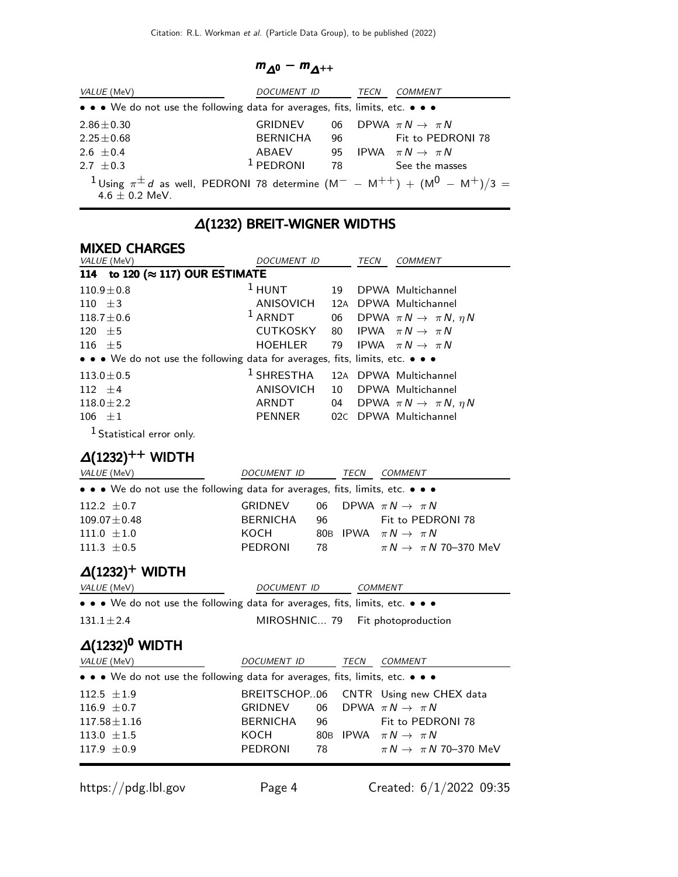#### $m_{\Delta^0} - m_{\Delta^{++}}$

| <i>VALUE</i> (MeV)                                                                                                          | DOCUMENT ID     |     | TECN | COMMENT                           |
|-----------------------------------------------------------------------------------------------------------------------------|-----------------|-----|------|-----------------------------------|
| • • • We do not use the following data for averages, fits, limits, etc. • • •                                               |                 |     |      |                                   |
| $2.86 \pm 0.30$                                                                                                             | <b>GRIDNEV</b>  | 06. |      | DPWA $\pi N \rightarrow \pi N$    |
| $2.25 \pm 0.68$                                                                                                             | <b>BERNICHA</b> | 96  |      | Fit to PEDRONI 78                 |
| $2.6 + 0.4$                                                                                                                 | ABAEV           |     |      | 95 IPWA $\pi N \rightarrow \pi N$ |
| $2.7 + 0.3$                                                                                                                 | $1$ PEDRONI     | 78  |      | See the masses                    |
| <sup>1</sup> Using $\pi^{\pm} d$ as well, PEDRONI 78 determine $(M^{-} - M^{++}) + (M^{0} - M^{+})/3 =$<br>$4.6 + 0.2$ MeV. |                 |     |      |                                   |

# ∆(1232) BREIT-WIGNER WIDTHS

# MIXED CHARGES

| VALUE (MeV)                                                                   | DOCUMENT ID                                 |    | TECN | <b>COMMENT</b>                            |
|-------------------------------------------------------------------------------|---------------------------------------------|----|------|-------------------------------------------|
| 114 to 120 (≈ 117) OUR ESTIMATE                                               |                                             |    |      |                                           |
| $110.9 \pm 0.8$                                                               | $1$ HUNT                                    | 19 |      | DPWA Multichannel                         |
| 110 $\pm$ 3                                                                   | ANISOVICH                                   |    |      | 12A DPWA Multichannel                     |
| $118.7 \pm 0.6$                                                               | $1$ ARNDT                                   | 06 |      | DPWA $\pi N \rightarrow \pi N$ , $\eta N$ |
| 120 $\pm 5$                                                                   | <b>CUTKOSKY</b>                             |    |      | 80 IPWA $\pi N \rightarrow \pi N$         |
| 116 $\pm$ 5                                                                   | HOEHLER                                     |    |      | 79 IPWA $\pi N \rightarrow \pi N$         |
| • • • We do not use the following data for averages, fits, limits, etc. • • • |                                             |    |      |                                           |
| $113.0 \pm 0.5$                                                               | <sup>1</sup> SHRESTHA 12A DPWA Multichannel |    |      |                                           |
| 112 $\pm 4$                                                                   | ANISOVICH                                   | 10 |      | DPWA Multichannel                         |
| $118.0 \pm 2.2$                                                               | ARNDT                                       | 04 |      | DPWA $\pi N \rightarrow \pi N$ , $\eta N$ |
| $106 + 1$                                                                     | PENNER                                      |    |      | 02C DPWA Multichannel                     |
|                                                                               |                                             |    |      |                                           |

1 Statistical error only.

# $\Delta(1232)^{++}$  WIDTH

| <i>VALUE</i> (MeV)                                                                                                    | DOCUMENT ID        |    | TECN        | <b>COMMENT</b>                       |  |  |
|-----------------------------------------------------------------------------------------------------------------------|--------------------|----|-------------|--------------------------------------|--|--|
| $\bullet \bullet \bullet$ We do not use the following data for averages, fits, limits, etc. $\bullet \bullet \bullet$ |                    |    |             |                                      |  |  |
| 112.2 $\pm$ 0.7                                                                                                       | <b>GRIDNEV</b>     | 06 |             | DPWA $\pi N \rightarrow \pi N$       |  |  |
| $109.07 \pm 0.48$                                                                                                     | <b>BERNICHA</b>    | 96 |             | Fit to PEDRONI 78                    |  |  |
| 111.0 $\pm 1.0$                                                                                                       | KOCH               |    |             | 80B IPWA $\pi N \rightarrow \pi N$   |  |  |
| 111.3 $\pm$ 0.5                                                                                                       | <b>PEDRONI</b>     | 78 |             | $\pi N \rightarrow \pi N$ 70–370 MeV |  |  |
| $\Delta(1232)^+$ WIDTH<br>VALUE (MeV)                                                                                 | <b>DOCUMENT ID</b> |    |             | <b>COMMENT</b>                       |  |  |
| • • • We do not use the following data for averages, fits, limits, etc. • • •                                         |                    |    |             |                                      |  |  |
| MIROSHNIC 79 Fit photoproduction<br>$131.1 \pm 2.4$                                                                   |                    |    |             |                                      |  |  |
| $\Delta(1232)^{0}$ WIDTH                                                                                              |                    |    |             |                                      |  |  |
| VALUE (MeV)                                                                                                           | DOCUMENT ID        |    | <b>TECN</b> | <b>COMMENT</b>                       |  |  |
| $\bullet \bullet \bullet$ We do not use the following data for averages, fits, limits, etc. $\bullet \bullet \bullet$ |                    |    |             |                                      |  |  |
| $112.5 \pm 1.9$                                                                                                       | BREITSCHOP06       |    |             | CNTR Using new CHEX data             |  |  |
| 116.9 $\pm$ 0.7                                                                                                       | <b>GRIDNEV</b>     | 06 |             | DPWA $\pi N \rightarrow \pi N$       |  |  |
| $117.58 \pm 1.16$                                                                                                     | <b>BERNICHA</b>    | 96 |             | Fit to PEDRONI 78                    |  |  |
| 113.0 $\pm 1.5$                                                                                                       | KOCH               |    |             | 80B IPWA $\pi N \rightarrow \pi N$   |  |  |
| $117.9 \pm 0.9$                                                                                                       | <b>PEDRONI</b>     | 78 |             | $\pi N \rightarrow \pi N$ 70–370 MeV |  |  |
|                                                                                                                       |                    |    |             |                                      |  |  |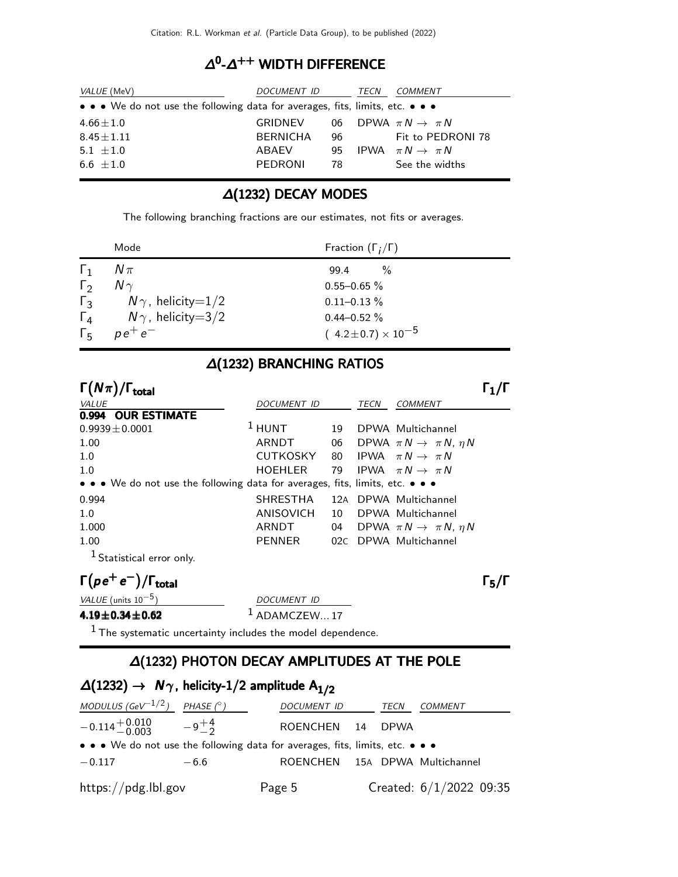### $\Delta^0$ - $\Delta^{++}$  WIDTH DIFFERENCE

| <i>VALUE</i> (MeV)                                                                                                    | DOCUMENT ID     |    | TECN | COMMENT                           |
|-----------------------------------------------------------------------------------------------------------------------|-----------------|----|------|-----------------------------------|
| $\bullet \bullet \bullet$ We do not use the following data for averages, fits, limits, etc. $\bullet \bullet \bullet$ |                 |    |      |                                   |
| $4.66 \pm 1.0$                                                                                                        | GRIDNEV         |    |      | 06 DPWA $\pi N \rightarrow \pi N$ |
| $8.45 \pm 1.11$                                                                                                       | <b>BERNICHA</b> | 96 |      | Fit to PEDRONI 78                 |
| 5.1 $\pm 1.0$                                                                                                         | ABAEV           | 95 |      | IPWA $\pi N \rightarrow \pi N$    |
| $6.6 + 1.0$                                                                                                           | PEDRONI         | 78 |      | See the widths                    |

### ∆(1232) DECAY MODES

The following branching fractions are our estimates, not fits or averages.

|                  | Mode                         | Fraction $(\Gamma_i/\Gamma)$   |
|------------------|------------------------------|--------------------------------|
| $\mathbf{1}_{1}$ | $N\pi$                       | $\frac{0}{2}$<br>99.4          |
| $\Gamma_2$       | $N\gamma$                    | $0.55 - 0.65 \%$               |
| $\Gamma_3$       | $N\gamma$ , helicity $=$ 1/2 | $0.11 - 0.13 \%$               |
| $\Gamma_{4}$     | $N\gamma$ , helicity $=$ 3/2 | $0.44 - 0.52 \%$               |
| $\Gamma_{5}$     | $p e^+ e^-$                  | $(4.2 \pm 0.7) \times 10^{-5}$ |

### ∆(1232) BRANCHING RATIOS

| $\Gamma(N\pi)/\Gamma_{\rm total}$                                             |                  |     |      |                                           |  |
|-------------------------------------------------------------------------------|------------------|-----|------|-------------------------------------------|--|
| VALUE                                                                         | DOCUMENT ID      |     | TECN | <b>COMMENT</b>                            |  |
| 0.994 OUR ESTIMATE                                                            |                  |     |      |                                           |  |
| $0.9939 \pm 0.0001$                                                           | $1$ HUNT         | 19  |      | DPWA Multichannel                         |  |
| 1.00                                                                          | ARNDT            | 06  |      | DPWA $\pi N \rightarrow \pi N$ , $\eta N$ |  |
| 1.0                                                                           | <b>CUTKOSKY</b>  | 80  |      | IPWA $\pi N \rightarrow \pi N$            |  |
| 1.0                                                                           | <b>HOEHLER</b>   | 79  |      | IPWA $\pi N \rightarrow \pi N$            |  |
| • • • We do not use the following data for averages, fits, limits, etc. • • • |                  |     |      |                                           |  |
| 0.994                                                                         | <b>SHRESTHA</b>  |     |      | 12A DPWA Multichannel                     |  |
| 1.0                                                                           | <b>ANISOVICH</b> | 10  |      | DPWA Multichannel                         |  |
| 1.000                                                                         | ARNDT            | 04  |      | DPWA $\pi N \rightarrow \pi N$ , $\eta N$ |  |
| 1.00                                                                          | <b>PENNER</b>    | 02C |      | DPWA Multichannel                         |  |
| <sup>1</sup> Statistical error only.                                          |                  |     |      |                                           |  |
| $\Gamma(\rho e^+ e^-)/\Gamma_{\text{total}}$                                  |                  |     |      |                                           |  |

| VALUE (units $10^{-5}$ ) | DOCUMENT ID                                                   |
|--------------------------|---------------------------------------------------------------|
| $4.19 \pm 0.34 \pm 0.62$ | $1$ ADAMCZEW 17                                               |
|                          | $1$ The systematic uncertainty includes the model dependence. |

# ∆(1232) PHOTON DECAY AMPLITUDES AT THE POLE

| $\Delta(1232) \rightarrow N\gamma$ , helicity-1/2 amplitude A <sub>1/2</sub>  |            |                                |             |                           |
|-------------------------------------------------------------------------------|------------|--------------------------------|-------------|---------------------------|
| MODULUS (GeV $^{-1/2}$ )                                                      | PHASE (° ) | <b>DOCUMENT ID</b>             | TECN        | COMMENT                   |
| $-0.114 + 0.010 -9 + 4$                                                       |            | ROENCHEN 14                    | <b>DPWA</b> |                           |
| • • • We do not use the following data for averages, fits, limits, etc. • • • |            |                                |             |                           |
| $-0.117$                                                                      | $-6.6$     | ROENCHEN 15A DPWA Multichannel |             |                           |
| https://pdg.lbl.gov                                                           |            | Page 5                         |             | Created: $6/1/2022$ 09:35 |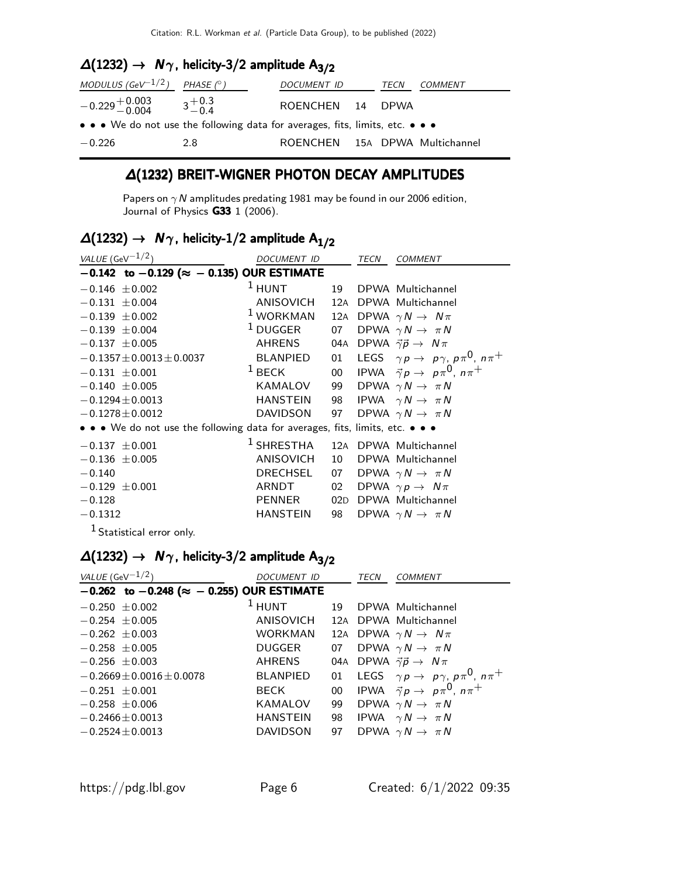# $\Delta(1232)$  →  $N\gamma$ , helicity-3/2 amplitude  $A_{3/2}$

| MODULUS (GeV $^{-1/2}$ ) PHASE (° )                                           |     | DOCUMENT ID                    | TECN | COMMENT |
|-------------------------------------------------------------------------------|-----|--------------------------------|------|---------|
| $-0.229 + 0.003 + 0.3 + 0.3$<br>$-0.4$ $3 + 0.3$                              |     | ROENCHEN 14 DPWA               |      |         |
| • • • We do not use the following data for averages, fits, limits, etc. • • • |     |                                |      |         |
| $-0.226$                                                                      | 2.8 | ROENCHEN 15A DPWA Multichannel |      |         |

#### ∆(1232) BREIT-WIGNER PHOTON DECAY AMPLITUDES

Papers on  $\gamma$  N amplitudes predating 1981 may be found in our 2006 edition, Journal of Physics **G33** 1 (2006).

# $\Delta(1232)$  →  $N_{\gamma}$ , helicity-1/2 amplitude  $A_{1/2}$

| VALUE (GeV $-1/2$ )                                                           | DOCUMENT ID                                                |     | TECN | <b>COMMENT</b>                                                  |
|-------------------------------------------------------------------------------|------------------------------------------------------------|-----|------|-----------------------------------------------------------------|
| $-0.142$ to $-0.129$ ( $\approx -0.135$ ) OUR ESTIMATE                        |                                                            |     |      |                                                                 |
| $-0.146 \pm 0.002$                                                            | $1$ HUNT                                                   | 19  |      | DPWA Multichannel                                               |
| $-0.131 \pm 0.004$                                                            | ANISOVICH 12A DPWA Multichannel                            |     |      |                                                                 |
| $-0.139 \pm 0.002$                                                            | <sup>1</sup> WORKMAN 12A DPWA $\gamma N \rightarrow N \pi$ |     |      |                                                                 |
| $-0.139 \pm 0.004$                                                            | $1$ DUGGER                                                 |     |      | 07 DPWA $\gamma N \rightarrow \pi N$                            |
| $-0.137 \pm 0.005$                                                            | AHRENS                                                     |     |      | 04A DPWA $\vec{\gamma} \vec{p} \rightarrow N \pi$               |
| $-0.1357 \pm 0.0013 \pm 0.0037$                                               | BLANPIED                                                   |     |      | 01 LEGS $\gamma p \rightarrow p \gamma$ , $p \pi^0$ , $n \pi^+$ |
| $-0.131 \pm 0.001$                                                            | $1$ BECK                                                   |     |      | 00 IPWA $\vec{\gamma} p \rightarrow p \pi^0$ , $n \pi^+$        |
| $-0.140 \pm 0.005$                                                            | KAMALOV                                                    |     |      | 99 DPWA $\gamma N \rightarrow \pi N$                            |
| $-0.1294 \pm 0.0013$                                                          | HANSTEIN                                                   |     |      | 98 IPWA $\gamma N \to \pi N$                                    |
| $-0.1278 \pm 0.0012$                                                          | <b>DAVIDSON</b>                                            |     |      | 97 DPWA $\gamma N \rightarrow \pi N$                            |
| • • • We do not use the following data for averages, fits, limits, etc. • • • |                                                            |     |      |                                                                 |
| $-0.137 \pm 0.001$                                                            | <sup>1</sup> SHRESTHA 12A DPWA Multichannel                |     |      |                                                                 |
| $-0.136 \pm 0.005$                                                            | ANISOVICH                                                  | 10  |      | DPWA Multichannel                                               |
| $-0.140$                                                                      | DRECHSEL                                                   |     |      | 07 DPWA $\gamma N \rightarrow \pi N$                            |
| $-0.129 \pm 0.001$                                                            | ARNDT                                                      | 02  |      | DPWA $\gamma p \rightarrow N \pi$                               |
| $-0.128$                                                                      | PENNER                                                     | 02D |      | DPWA Multichannel                                               |
| $-0.1312$                                                                     | HANSTEIN                                                   | 98  |      | DPWA $\gamma N \rightarrow \pi N$                               |
| <sup>1</sup> Statistical error only.                                          |                                                            |     |      |                                                                 |

# $\Delta(1232)$  →  $N_{\gamma}$ , helicity-3/2 amplitude  $A_{3/2}$

| VALUE (GeV $^{-1/2}$ )                                 | DOCUMENT ID                     |    | <b>TECN</b> | <b>COMMENT</b>                                        |
|--------------------------------------------------------|---------------------------------|----|-------------|-------------------------------------------------------|
| $-0.262$ to $-0.248$ ( $\approx -0.255$ ) OUR ESTIMATE |                                 |    |             |                                                       |
| $-0.250 \pm 0.002$                                     | $1$ HUNT                        | 19 |             | DPWA Multichannel                                     |
| $-0.254 \pm 0.005$                                     | ANISOVICH 12A DPWA Multichannel |    |             |                                                       |
| $-0.262 \pm 0.003$                                     | <b>WORKMAN</b>                  |    |             | 12A DPWA $\gamma N \to N \pi$                         |
| $-0.258 \pm 0.005$                                     | DUGGER                          | 07 |             | DPWA $\gamma N \rightarrow \pi N$                     |
| $-0.256 \pm 0.003$                                     | AHRENS                          |    |             | 04A DPWA $\vec{\gamma} \vec{p} \rightarrow N \pi$     |
| $-0.2669 \pm 0.0016 \pm 0.0078$                        | <b>BLANPIED</b>                 | 01 |             | LEGS $\gamma p \to p \gamma$ , $p \pi^0$ , $n \pi^+$  |
| $-0.251 + 0.001$                                       | BECK                            | 00 |             | IPWA $\vec{\gamma} p \rightarrow p \pi^0$ , $n \pi^+$ |
| $-0.258 \pm 0.006$                                     | KAMALOV                         | 99 |             | DPWA $\gamma N \rightarrow \pi N$                     |
| $-0.2466 \pm 0.0013$                                   | <b>HANSTEIN</b>                 | 98 |             | IPWA $\gamma N \rightarrow \pi N$                     |
| $-0.2524 + 0.0013$                                     | <b>DAVIDSON</b>                 | 97 |             | DPWA $\gamma N \rightarrow \pi N$                     |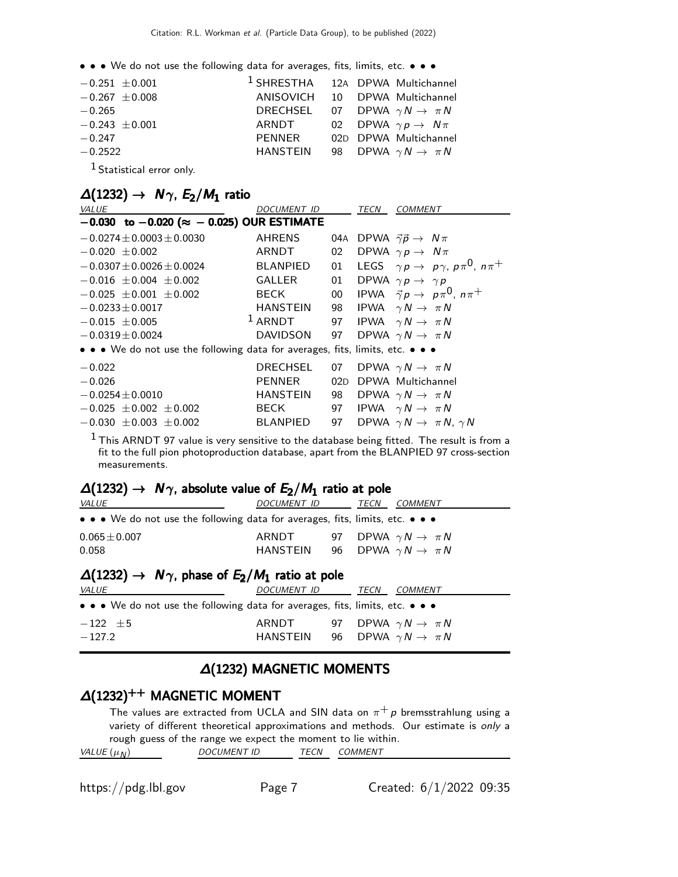• • • We do not use the following data for averages, fits, limits, etc. • • •

| $-0.251 \pm 0.001$                                                                                                                                                                                                                                                                        |          | <sup>1</sup> SHRESTHA 12A DPWA Multichannel |  |
|-------------------------------------------------------------------------------------------------------------------------------------------------------------------------------------------------------------------------------------------------------------------------------------------|----------|---------------------------------------------|--|
| $-0.267 \pm 0.008$                                                                                                                                                                                                                                                                        |          | ANISOVICH 10 DPWA Multichannel              |  |
| $-0.265$                                                                                                                                                                                                                                                                                  |          | DRECHSEL 07 DPWA $\gamma N \to \pi N$       |  |
| $-0.243 \pm 0.001$                                                                                                                                                                                                                                                                        |          | ARNDT 02 DPWA $\gamma p \to N \pi$          |  |
| $-0.247$                                                                                                                                                                                                                                                                                  | PENNER   | 02D DPWA Multichannel                       |  |
| $-0.2522$                                                                                                                                                                                                                                                                                 | HANSTEIN | 98 DPWA $\gamma N \to \pi N$                |  |
| $\sim$ 1.4. $\sim$ . $\sim$ . $\sim$ . $\sim$ . $\sim$ . $\sim$ . $\sim$ . $\sim$ . $\sim$ . $\sim$ . $\sim$ . $\sim$ . $\sim$ . $\sim$ . $\sim$ . $\sim$ . $\sim$ . $\sim$ . $\sim$ . $\sim$ . $\sim$ . $\sim$ . $\sim$ . $\sim$ . $\sim$ . $\sim$ . $\sim$ . $\sim$ . $\sim$ . $\sim$ . |          |                                             |  |

1 Statistical error only.

| $\Delta(1232) \rightarrow N\gamma$ , $E_2/M_1$ ratio |  |  |  |
|------------------------------------------------------|--|--|--|
|------------------------------------------------------|--|--|--|

| DOCUMENT ID                                            |           | TECN | <b>COMMENT</b>                                                                                                            |
|--------------------------------------------------------|-----------|------|---------------------------------------------------------------------------------------------------------------------------|
| $-0.030$ to $-0.020$ ( $\approx -0.025$ ) OUR ESTIMATE |           |      |                                                                                                                           |
| <b>AHRENS</b>                                          | 04A       |      | DPWA $\vec{\gamma} \vec{p} \rightarrow N \pi$                                                                             |
| ARNDT                                                  | 02        |      | DPWA $\gamma p \rightarrow N \pi$                                                                                         |
| <b>BLANPIED</b>                                        | 01        |      | LEGS $\gamma p \rightarrow p \gamma$ , $p \pi^0$ , $n \pi^+$                                                              |
| <b>GALLER</b>                                          | 01        |      | DPWA $\gamma p \rightarrow \gamma p$                                                                                      |
| BECK                                                   | $00\,$    |      | IPWA $\vec{\gamma} p \rightarrow p \pi^0$ , $n \pi^+$                                                                     |
| <b>HANSTEIN</b>                                        |           |      | IPWA $\gamma N \rightarrow \pi N$                                                                                         |
|                                                        |           |      |                                                                                                                           |
| DAVIDSON                                               | 97        |      | DPWA $\gamma N \rightarrow \pi N$                                                                                         |
|                                                        |           |      |                                                                                                                           |
| <b>DRECHSEL</b>                                        | 07        |      | DPWA $\gamma N \rightarrow \pi N$                                                                                         |
| <b>PENNER</b>                                          | 02D       |      | DPWA Multichannel                                                                                                         |
| <b>HANSTEIN</b>                                        | 98        |      | DPWA $\gamma N \rightarrow \pi N$                                                                                         |
| BECK                                                   | 97        |      | IPWA $\gamma N \rightarrow \pi N$                                                                                         |
| <b>BLANPIED</b>                                        |           |      | DPWA $\gamma N \rightarrow \pi N$ , $\gamma N$                                                                            |
|                                                        | $1$ ARNDT |      | 98<br>97 IPWA $\gamma N \to \pi N$<br>• • • We do not use the following data for averages, fits, limits, etc. • • •<br>97 |

 $<sup>1</sup>$  This ARNDT 97 value is very sensitive to the database being fitted. The result is from a</sup> fit to the full pion photoproduction database, apart from the BLANPIED 97 cross-section measurements.

### $\Delta(1232) \rightarrow N\gamma$ , absolute value of  $E_2/M_1$  ratio at pole

| <i>VALUE</i>                                                                                                          | <i>DOCUMENT ID</i>                             | TECN | <b>COMMENT</b>                       |
|-----------------------------------------------------------------------------------------------------------------------|------------------------------------------------|------|--------------------------------------|
| $\bullet \bullet \bullet$ We do not use the following data for averages, fits, limits, etc. $\bullet \bullet \bullet$ |                                                |      |                                      |
| $0.065 \pm 0.007$                                                                                                     | ARNDT 97 DPWA $\gamma N \to \pi N$             |      |                                      |
| 0.058                                                                                                                 | HANSTEIN 96 DPWA $\gamma N \to \pi N$          |      |                                      |
| $\Delta(1232) \rightarrow N\gamma$ , phase of $E_2/M_1$ ratio at pole<br>VALUE                                        | DOCUMENT ID TECN                               |      | <b>COMMENT</b>                       |
| • • • We do not use the following data for averages, fits, limits, etc. • • •                                         |                                                |      |                                      |
| $-122 \pm 5$<br>$-127.2$                                                                                              | ARNDT<br>HANSTEIN 96 DPWA $\gamma N \to \pi N$ |      | 97 DPWA $\gamma N \rightarrow \pi N$ |

#### ∆(1232) MAGNETIC MOMENTS

### $\Delta(1232)^{++}$  MAGNETIC MOMENT

The values are extracted from UCLA and SIN data on  $\pi^+ p$  bremsstrahlung using a variety of different theoretical approximations and methods. Our estimate is only a rough guess of the range we expect the moment to lie within.<br>VALUE  $(\mu_N)$  DOCUMENT ID TECN COMMENT DOCUMENT ID TECN COMMENT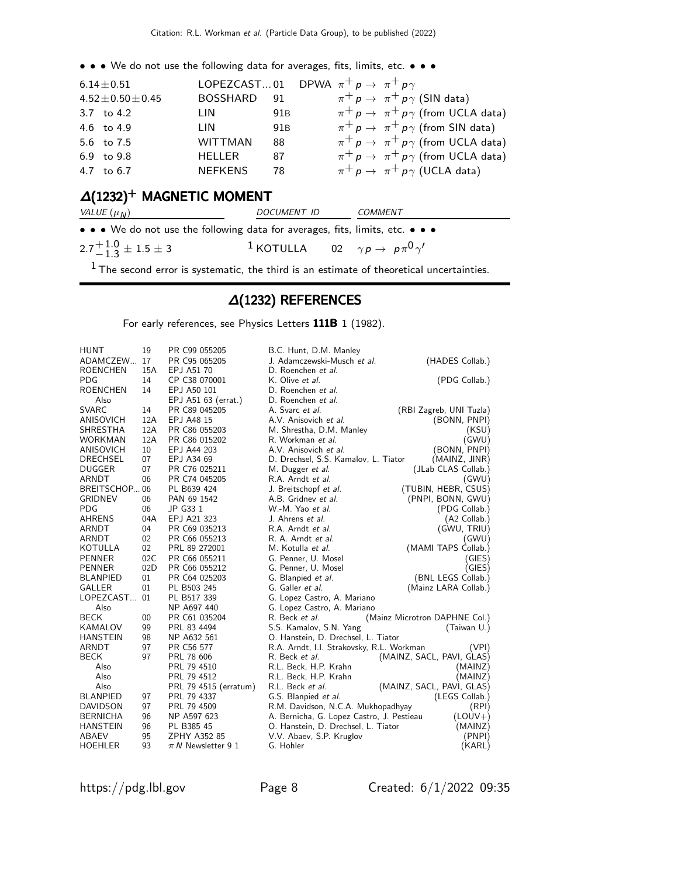• • • We do not use the following data for averages, fits, limits, etc. • • •

| $6.14 \pm 0.51$          | LOPEZCAST01 DPWA $\pi^+ p \rightarrow \pi^+ p \gamma$ |                 |                                                       |
|--------------------------|-------------------------------------------------------|-----------------|-------------------------------------------------------|
| $4.52 \pm 0.50 \pm 0.45$ | BOSSHARD 91                                           |                 | $\pi^+ p \rightarrow \pi^+ p \gamma$ (SIN data)       |
| 3.7 to 4.2               | LIN                                                   | 91B             | $\pi^+ p \to \pi^+ p \gamma$ (from UCLA data)         |
| 4.6 to 4.9               | I IN                                                  | 91 <sub>B</sub> | $\pi^+$ $p \to \pi^+$ $p\gamma$ (from SIN data)       |
| 5.6 to 7.5               | <b>WITTMAN</b>                                        | 88              | $\pi^+ p \to \pi^+ p \gamma$ (from UCLA data)         |
| 6.9 to 9.8               | HELLER                                                | -87             | $\pi^+ p \rightarrow \pi^+ p \gamma$ (from UCLA data) |
| 4.7 to 6.7               | <b>NEFKENS</b>                                        | -78             | $\pi^+$ $p \to \pi^+$ $p\gamma$ (UCLA data)           |

# $\Delta(1232)^+$  MAGNETIC MOMENT

| VALUE $(\mu_N)$                                                                                                       | DOCUMENT ID                                                            | COMMENT |  |
|-----------------------------------------------------------------------------------------------------------------------|------------------------------------------------------------------------|---------|--|
| $\bullet \bullet \bullet$ We do not use the following data for averages, fits, limits, etc. $\bullet \bullet \bullet$ |                                                                        |         |  |
| $2.7^{+\,1.0}_{-\,1.3}\pm1.5\pm3$                                                                                     | <sup>1</sup> KOTULLA 02 $\gamma p \rightarrow p \pi^0 \gamma^{\prime}$ |         |  |

 $1$  The second error is systematic, the third is an estimate of theoretical uncertainties.

#### ∆(1232) REFERENCES

For early references, see Physics Letters 111B 1 (1982).

| <b>HUNT</b>     | 19  | PR C99 055205          | B.C. Hunt, D.M. Manley                    |                               |
|-----------------|-----|------------------------|-------------------------------------------|-------------------------------|
| ADAMCZEW        | 17  | PR C95 065205          | J. Adamczewski-Musch et al.               | (HADES Collab.)               |
| <b>ROENCHEN</b> | 15A | EPJ A51 70             | D. Roenchen et al.                        |                               |
| <b>PDG</b>      | 14  | CP C38 070001          | K. Olive et al.                           | (PDG Collab.)                 |
| <b>ROENCHEN</b> | 14  | EPJ A50 101            | D. Roenchen et al.                        |                               |
| Also            |     | EPJ A51 63 (errat.)    | D. Roenchen et al.                        |                               |
| <b>SVARC</b>    | 14  | PR C89 045205          | A. Svarc et al.                           | (RBI Zagreb, UNI Tuzla)       |
| ANISOVICH       | 12A | EPJ A48 15             | A.V. Anisovich et al.                     | (BONN, PNPI)                  |
| SHRESTHA        | 12A | PR C86 055203          | M. Shrestha, D.M. Manley                  | (KSU)                         |
| <b>WORKMAN</b>  | 12A | PR C86 015202          | R. Workman et al.                         | (GWU)                         |
| ANISOVICH       | 10  | EPJ A44 203            | A.V. Anisovich et al.                     | (BONN, PNPI)                  |
| <b>DRECHSEL</b> | 07  | EPJ A34 69             | D. Drechsel, S.S. Kamalov, L. Tiator      | (MAINZ, JINR)                 |
| <b>DUGGER</b>   | 07  | PR C76 025211          | M. Dugger et al.                          | (JLab CLAS Collab.)           |
| ARNDT           | 06  | PR C74 045205          | R.A. Arndt et al.                         | (GWU)                         |
| BREITSCHOP 06   |     | PL B639 424            | J. Breitschopf et al.                     | (TUBIN, HEBR, CSUS)           |
| <b>GRIDNEV</b>  | 06  | PAN 69 1542            | A.B. Gridney et al.                       | (PNPI, BONN, GWU)             |
| <b>PDG</b>      | 06  | JP G33 1               | W.-M. Yao et al.                          | (PDG Collab.)                 |
| <b>AHRENS</b>   | 04A | EPJ A21 323            | J. Ahrens <i>et al.</i>                   | (A2 Collab.)                  |
| ARNDT           | 04  | PR C69 035213          | R.A. Arndt et al.                         | (GWU, TRIU)                   |
| <b>ARNDT</b>    | 02  | PR C66 055213          | R. A. Arndt et al.                        | (GWU)                         |
| KOTULLA         | 02  | PRL 89 272001          | M. Kotulla et al.                         | (MAMI TAPS Collab.)           |
| <b>PENNER</b>   | 02C | PR C66 055211          | G. Penner, U. Mosel                       | (GIES)                        |
| <b>PENNER</b>   | 02D | PR C66 055212          | G. Penner, U. Mosel                       | (GIES)                        |
| <b>BLANPIED</b> | 01  | PR C64 025203          | G. Blanpied et al.                        | (BNL LEGS Collab.)            |
| <b>GALLER</b>   | 01  | PL B503 245            | G. Galler et al.                          | (Mainz LARA Collab.)          |
| LOPEZCAST       | 01  | PL B517 339            | G. Lopez Castro, A. Mariano               |                               |
| Also            |     | NP A697 440            | G. Lopez Castro, A. Mariano               |                               |
| <b>BECK</b>     | 00  | PR C61 035204          | R. Beck et al.                            | (Mainz Microtron DAPHNE Col.) |
| KAMALOV         | 99  | PRL 83 4494            | S.S. Kamalov, S.N. Yang                   | (Taiwan U.)                   |
| <b>HANSTEIN</b> | 98  | NP A632 561            | O. Hanstein, D. Drechsel, L. Tiator       |                               |
| ARNDT           | 97  | PR C56 577             | R.A. Arndt, I.I. Strakovsky, R.L. Workman | (VPI)                         |
| <b>BECK</b>     | 97  | PRL 78 606             | R. Beck et al.                            | (MAINZ, SACL, PAVI, GLAS)     |
| Also            |     | PRL 79 4510            | R.L. Beck, H.P. Krahn                     | (MAINZ)                       |
| Also            |     | PRL 79 4512            | R.L. Beck, H.P. Krahn                     | (MAINZ)                       |
| Also            |     | PRL 79 4515 (erratum)  | R.L. Beck et al.                          | (MAINZ, SACL, PAVI, GLAS)     |
| <b>BLANPIED</b> | 97  | PRL 79 4337            | G.S. Blanpied et al.                      | (LEGS Collab.)                |
| <b>DAVIDSON</b> | 97  | PRL 79 4509            | R.M. Davidson, N.C.A. Mukhopadhyay        | (RPI)                         |
| <b>BERNICHA</b> | 96  | NP A597 623            | A. Bernicha, G. Lopez Castro, J. Pestieau | $(LOUV+)$                     |
| <b>HANSTEIN</b> | 96  | PL B385 45             | O. Hanstein, D. Drechsel, L. Tiator       | (MAINZ)                       |
| ABAEV           | 95  | ZPHY A352 85           | V.V. Abaev, S.P. Kruglov                  | (PNPI)                        |
| <b>HOEHLER</b>  | 93  | $\pi N$ Newsletter 9 1 | G. Hohler                                 | (KARL)                        |